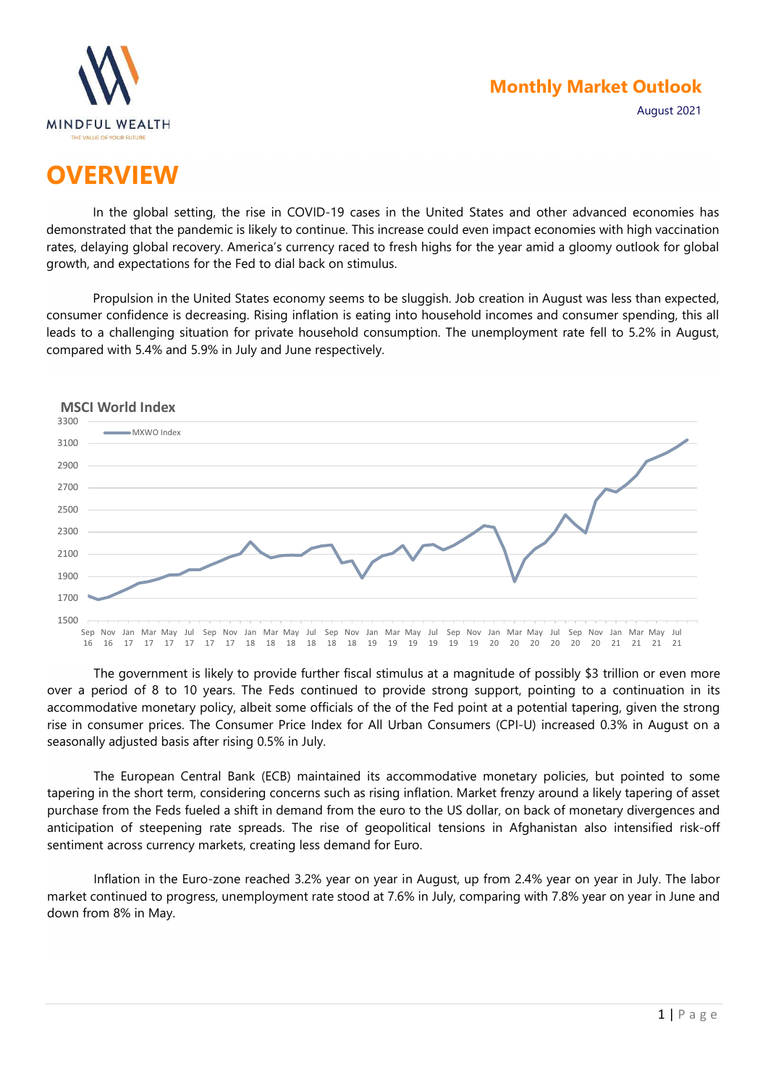



## **OVERVIEW**

In the global setting, the rise in COVID-19 cases in the United States and other advanced economies has demonstrated that the pandemic is likely to continue. This increase could even impact economies with high vaccination rates, delaying global recovery. America's currency raced to fresh highs for the year amid a gloomy outlook for global growth, and expectations for the Fed to dial back on stimulus.

Propulsion in the United States economy seems to be sluggish. Job creation in August was less than expected, consumer confidence is decreasing. Rising inflation is eating into household incomes and consumer spending, this all leads to a challenging situation for private household consumption. The unemployment rate fell to 5.2% in August, compared with 5.4% and 5.9% in July and June respectively.



The government is likely to provide further fiscal stimulus at a magnitude of possibly \$3 trillion or even more over a period of 8 to 10 years. The Feds continued to provide strong support, pointing to a continuation in its accommodative monetary policy, albeit some officials of the of the Fed point at a potential tapering, given the strong rise in consumer prices. The Consumer Price Index for All Urban Consumers (CPI-U) increased 0.3% in August on a seasonally adjusted basis after rising 0.5% in July.

The European Central Bank (ECB) maintained its accommodative monetary policies, but pointed to some tapering in the short term, considering concerns such as rising inflation. Market frenzy around a likely tapering of asset purchase from the Feds fueled a shift in demand from the euro to the US dollar, on back of monetary divergences and anticipation of steepening rate spreads. The rise of geopolitical tensions in Afghanistan also intensified risk-off sentiment across currency markets, creating less demand for Euro.

Inflation in the Euro-zone reached 3.2% year on year in August, up from 2.4% year on year in July. The labor market continued to progress, unemployment rate stood at 7.6% in July, comparing with 7.8% year on year in June and down from 8% in May.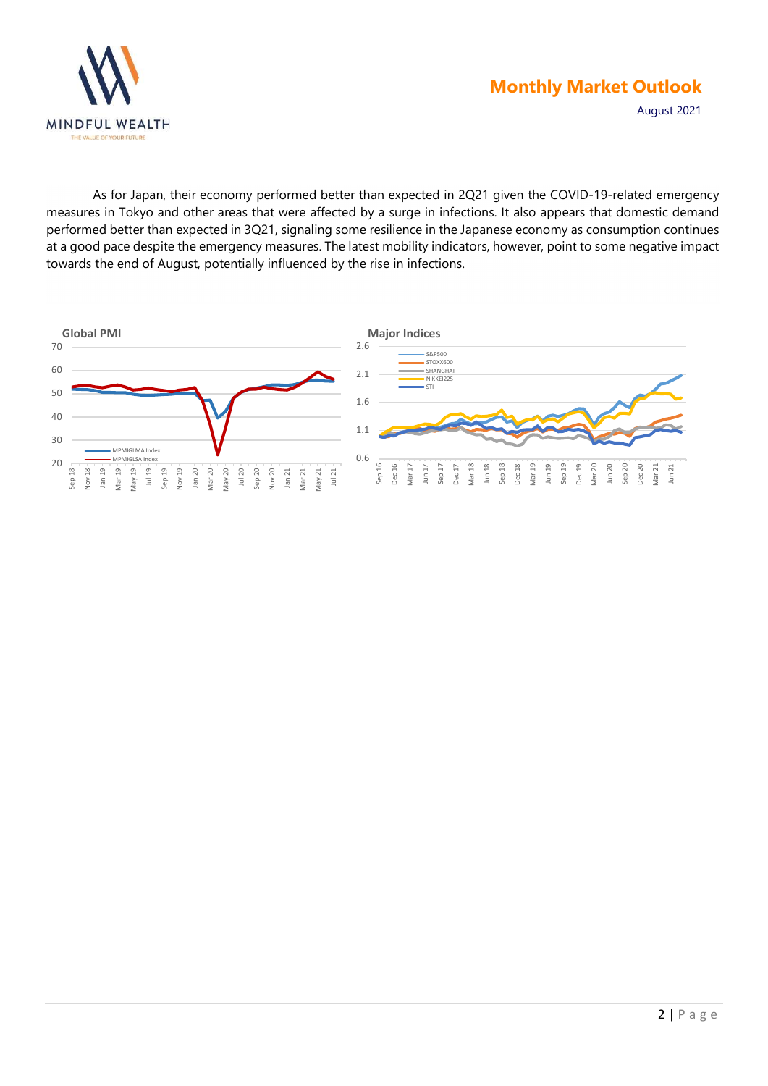

As for Japan, their economy performed better than expected in 2Q21 given the COVID-19-related emergency measures in Tokyo and other areas that were affected by a surge in infections. It also appears that domestic demand performed better than expected in 3Q21, signaling some resilience in the Japanese economy as consumption continues at a good pace despite the emergency measures. The latest mobility indicators, however, point to some negative impact towards the end of August, potentially influenced by the rise in infections.

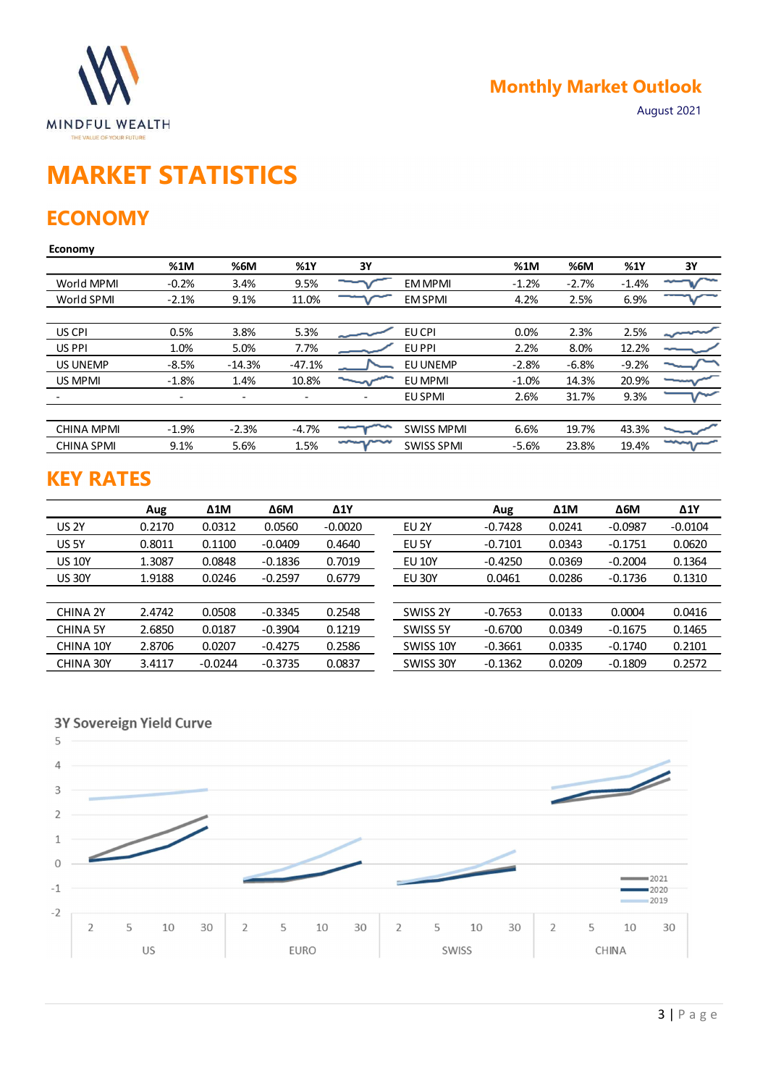

# MARKET STATISTICS

## **ECONOMY**

### Economy

| <b>MINDFUL WEALTH</b><br>THE VALUE OF YOUR FUTURE |                          |                          |                          |                          |                   |           | <b>Monthly Market Outlook</b> |             | August 2021 |
|---------------------------------------------------|--------------------------|--------------------------|--------------------------|--------------------------|-------------------|-----------|-------------------------------|-------------|-------------|
| <b>MARKET STATISTICS</b><br><b>ECONOMY</b>        |                          |                          |                          |                          |                   |           |                               |             |             |
| <b>Economy</b>                                    | %1M                      | %6M                      | %1Y                      | 3Y                       |                   | %1M       | %6M                           | %1Y         | 3Y          |
| World MPMI                                        | $-0.2%$                  | 3.4%                     | 9.5%                     |                          | <b>EM MPMI</b>    | $-1.2%$   | $-2.7%$                       | $-1.4%$     |             |
| World SPMI                                        | $-2.1%$                  | 9.1%                     | 11.0%                    |                          | <b>EM SPMI</b>    | 4.2%      | 2.5%                          | 6.9%        |             |
| US CPI                                            | 0.5%                     | 3.8%                     | 5.3%                     |                          | EU CPI            | 0.0%      | 2.3%                          | 2.5%        |             |
| US PPI                                            | 1.0%                     | 5.0%                     | 7.7%                     |                          | EU PPI            | 2.2%      | 8.0%                          | 12.2%       |             |
| US UNEMP                                          | $-8.5%$                  | $-14.3%$                 | $-47.1%$                 |                          | EU UNEMP          | $-2.8%$   | $-6.8%$                       | $-9.2%$     |             |
| US MPMI                                           | $-1.8%$                  | 1.4%                     | 10.8%                    |                          | EU MPMI           | $-1.0%$   | 14.3%                         | 20.9%       |             |
|                                                   | $\overline{\phantom{a}}$ | $\overline{\phantom{a}}$ | $\overline{\phantom{a}}$ | $\overline{\phantom{a}}$ | EU SPMI           | 2.6%      | 31.7%                         | 9.3%        |             |
| <b>CHINA MPMI</b>                                 | $-1.9%$                  | $-2.3%$                  | $-4.7%$                  |                          | <b>SWISS MPMI</b> | 6.6%      | 19.7%                         | 43.3%       |             |
| <b>CHINA SPMI</b>                                 | 9.1%                     | 5.6%                     | 1.5%                     | marn                     | <b>SWISS SPMI</b> | $-5.6%$   | 23.8%                         | 19.4%       | سير         |
| <b>KEY RATES</b>                                  |                          |                          |                          |                          |                   |           |                               |             |             |
|                                                   | Aug                      | $\Delta 1$ M             | $\Delta 6M$              | $\Delta$ 1Y              |                   | Aug       | $\Delta 1$ M                  | $\Delta 6M$ | $\Delta$ 1Y |
| <b>US 2Y</b>                                      | 0.2170                   | 0.0312                   | 0.0560                   | $-0.0020$                | EU 2Y             | $-0.7428$ | 0.0241                        | $-0.0987$   | $-0.0104$   |
| US 5Y                                             | 0.8011                   | 0.1100                   | $-0.0409$                | 0.4640                   | EU 5Y             | $-0.7101$ | 0.0343                        | $-0.1751$   | 0.0620      |
| <b>US 10Y</b>                                     | 1.3087                   | 0.0848                   | $-0.1836$                | 0.7019                   | <b>EU 10Y</b>     | $-0.4250$ | 0.0369                        | $-0.2004$   | 0.1364      |
| <b>US 30Y</b>                                     | 1.9188                   | 0.0246                   | $-0.2597$                | 0.6779                   | <b>EU 30Y</b>     | 0.0461    | 0.0286                        | $-0.1736$   | 0.1310      |
| CHINA 2Y                                          | 2.4742                   | 0.0508                   | $-0.3345$                | 0.2548                   | SWISS 2Y          | $-0.7653$ | 0.0133                        | 0.0004      | 0.0416      |
| <b>CHINA 5Y</b>                                   | 2.6850                   | 0.0187                   | $-0.3904$                | 0.1219                   | SWISS 5Y          | $-0.6700$ | 0.0349                        | $-0.1675$   | 0.1465      |
| CHINA 10Y                                         | 2.8706                   | 0.0207                   | $-0.4275$                | 0.2586                   | SWISS 10Y         | $-0.3661$ | 0.0335                        | $-0.1740$   | 0.2101      |
| CHINA 30Y                                         | 3.4117                   | $-0.0244$                | $-0.3735$                | 0.0837                   | SWISS 30Y         | $-0.1362$ | 0.0209                        | $-0.1809$   | 0.2572      |
|                                                   |                          |                          |                          |                          |                   |           |                               |             |             |

## KEY RATES

|                               | ----    |            |                          |                          |                   |           |              |             |               |
|-------------------------------|---------|------------|--------------------------|--------------------------|-------------------|-----------|--------------|-------------|---------------|
| World SPMI                    | $-2.1%$ | 9.1%       | 11.0%                    |                          | <b>EM SPMI</b>    | 4.2%      | 2.5%         | 6.9%        |               |
|                               |         |            |                          |                          |                   |           |              |             |               |
| US CPI                        | 0.5%    | 3.8%       | 5.3%                     |                          | EU CPI            | 0.0%      | 2.3%         | 2.5%        | $\sim$        |
| US PPI                        | 1.0%    | 5.0%       | 7.7%                     |                          | EU PPI            | 2.2%      | 8.0%         | 12.2%       |               |
| US UNEMP                      | $-8.5%$ | $-14.3%$   | $-47.1%$                 |                          | EU UNEMP          | $-2.8%$   | $-6.8%$      | $-9.2%$     |               |
| US MPMI                       | $-1.8%$ | 1.4%       | 10.8%                    | ∼                        | EU MPMI           | $-1.0%$   | 14.3%        | 20.9%       |               |
|                               | $\sim$  | $\sim$     | $\overline{\phantom{a}}$ | $\overline{\phantom{a}}$ | EU SPMI           | 2.6%      | 31.7%        | 9.3%        |               |
| <b>CHINA MPMI</b>             | $-1.9%$ | $-2.3%$    | $-4.7%$                  |                          | <b>SWISS MPMI</b> | 6.6%      | 19.7%        | 43.3%       |               |
| <b>CHINA SPMI</b>             | 9.1%    | 5.6%       | 1.5%                     | marin                    | <b>SWISS SPMI</b> | $-5.6%$   | 23.8%        | 19.4%       | $T_{\rm max}$ |
| <b>KEY RATES</b>              | Aug     | $\Delta 1$ | $\Delta 6M$              | $\Delta 1Y$              |                   | Aug       | $\Delta 1$ M | $\Delta 6M$ | $\Delta$ 1Y   |
| <b>US 2Y</b>                  | 0.2170  | 0.0312     | 0.0560                   | $-0.0020$                | EU <sub>2Y</sub>  | $-0.7428$ | 0.0241       | $-0.0987$   | $-0.0104$     |
| US 5Y                         | 0.8011  | 0.1100     | $-0.0409$                | 0.4640                   | EU 5Y             | $-0.7101$ | 0.0343       | $-0.1751$   | 0.0620        |
| <b>US 10Y</b>                 | 1.3087  | 0.0848     | $-0.1836$                | 0.7019                   | <b>EU 10Y</b>     | $-0.4250$ | 0.0369       | $-0.2004$   | 0.1364        |
| <b>US 30Y</b>                 | 1.9188  | 0.0246     | $-0.2597$                | 0.6779                   | <b>EU 30Y</b>     | 0.0461    | 0.0286       | $-0.1736$   | 0.1310        |
| CHINA 2Y                      | 2.4742  | 0.0508     | $-0.3345$                | 0.2548                   | SWISS 2Y          | $-0.7653$ | 0.0133       | 0.0004      | 0.0416        |
| <b>CHINA 5Y</b>               | 2.6850  | 0.0187     | $-0.3904$                | 0.1219                   | SWISS 5Y          | $-0.6700$ | 0.0349       | $-0.1675$   | 0.1465        |
| CHINA 10Y                     | 2.8706  | 0.0207     | $-0.4275$                | 0.2586                   | SWISS 10Y         | $-0.3661$ | 0.0335       | $-0.1740$   | 0.2101        |
| CHINA 30Y                     | 3.4117  | $-0.0244$  | $-0.3735$                | 0.0837                   | SWISS 30Y         | $-0.1362$ | 0.0209       | $-0.1809$   | 0.2572        |
| 3Y Sovereign Yield Curve<br>5 |         |            |                          |                          |                   |           |              |             |               |

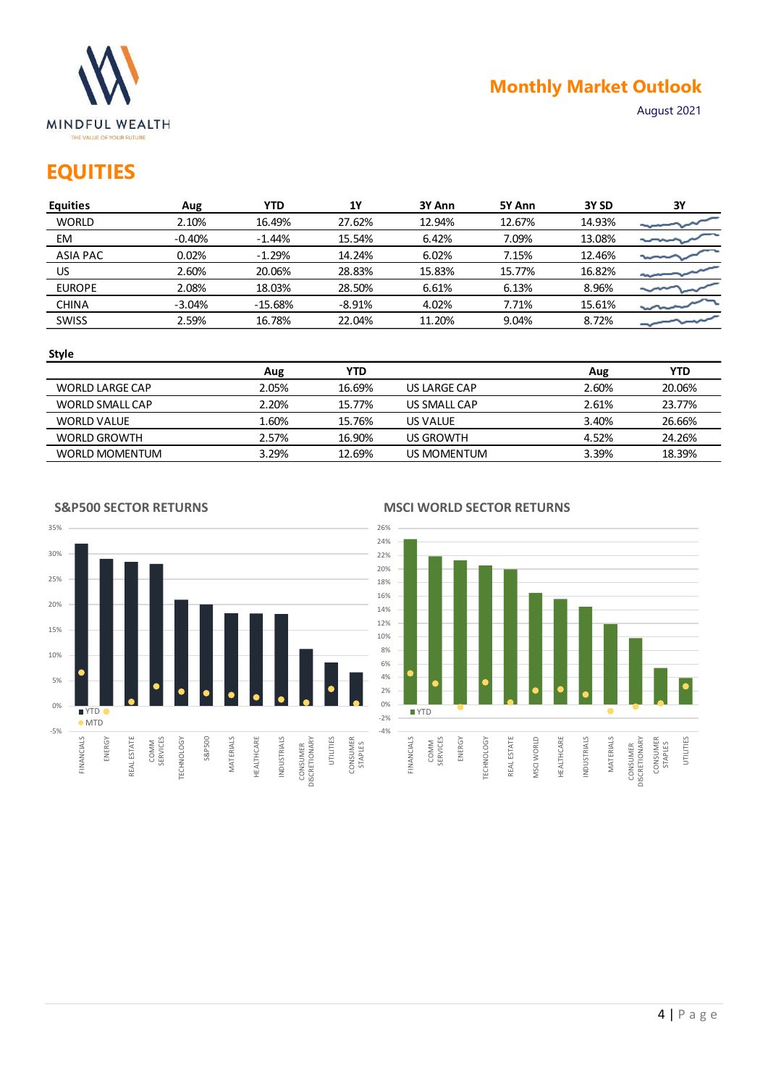

## **EQUITIES**

|                                                                      |          |            |            |                  |        |                  | <b>Monthly Market Outlook</b> |
|----------------------------------------------------------------------|----------|------------|------------|------------------|--------|------------------|-------------------------------|
| <b>MINDFUL WEALTH</b><br>THE VALUE OF YOUR FUTURE<br><b>EQUITIES</b> |          |            |            |                  |        |                  | August 2021                   |
| <b>Equities</b>                                                      | Aug      | <b>YTD</b> | <b>1Y</b>  | 3Y Ann           | 5Y Ann | 3Y <sub>SD</sub> | ЗΥ                            |
| <b>WORLD</b>                                                         | 2.10%    | 16.49%     | 27.62%     | 12.94%           | 12.67% | 14.93%           |                               |
| EM                                                                   | $-0.40%$ | $-1.44%$   | 15.54%     | 6.42%            | 7.09%  | 13.08%           |                               |
| <b>ASIA PAC</b>                                                      | 0.02%    | $-1.29%$   | 14.24%     | 6.02%            | 7.15%  | 12.46%           |                               |
| <b>US</b>                                                            | 2.60%    | 20.06%     | 28.83%     | 15.83%           | 15.77% | 16.82%           |                               |
| <b>EUROPE</b>                                                        | 2.08%    | 18.03%     | 28.50%     | 6.61%            | 6.13%  | 8.96%            |                               |
| <b>CHINA</b>                                                         | $-3.04%$ | $-15.68%$  | $-8.91%$   | 4.02%            | 7.71%  | 15.61%           |                               |
| SWISS                                                                | 2.59%    | 16.78%     | 22.04%     | 11.20%           | 9.04%  | 8.72%            |                               |
|                                                                      |          |            |            |                  |        |                  |                               |
| <b>Style</b>                                                         |          |            |            |                  |        |                  |                               |
|                                                                      |          | Aug        | <b>YTD</b> |                  |        | Aug              | <b>YTD</b>                    |
| <b>WORLD LARGE CAP</b>                                               |          | 2.05%      | 16.69%     | US LARGE CAP     |        | 2.60%            | 20.06%                        |
| WORLD SMALL CAP                                                      |          | 2.20%      | 15.77%     | US SMALL CAP     |        | 2.61%            | 23.77%                        |
| <b>WORLD VALUE</b>                                                   |          | 1.60%      | 15.76%     | US VALUE         |        | 3.40%            | 26.66%                        |
| <b>WORLD GROWTH</b>                                                  |          | 2.57%      | 16.90%     | <b>US GROWTH</b> |        | 4.52%            | 24.26%                        |

### Style

|                     | Aug   | YTD    |              | Aug   | YTD    |
|---------------------|-------|--------|--------------|-------|--------|
| WORLD LARGE CAP     | 2.05% | 16.69% | US LARGE CAP | 2.60% | 20.06% |
| WORLD SMALL CAP     | 2.20% | 15.77% | US SMALL CAP | 2.61% | 23.77% |
| <b>WORLD VALUE</b>  | 60%   | 15.76% | US VALUE     | 3.40% | 26.66% |
| <b>WORLD GROWTH</b> | 2.57% | 16.90% | US GROWTH    | 4.52% | 24.26% |
| WORLD MOMENTUM      | 3.29% | 12.69% | US MOMENTUM  | 3.39% | 18.39% |

S&P500 SECTOR RETURNS



### MSCI WORLD SECTOR RETURNS

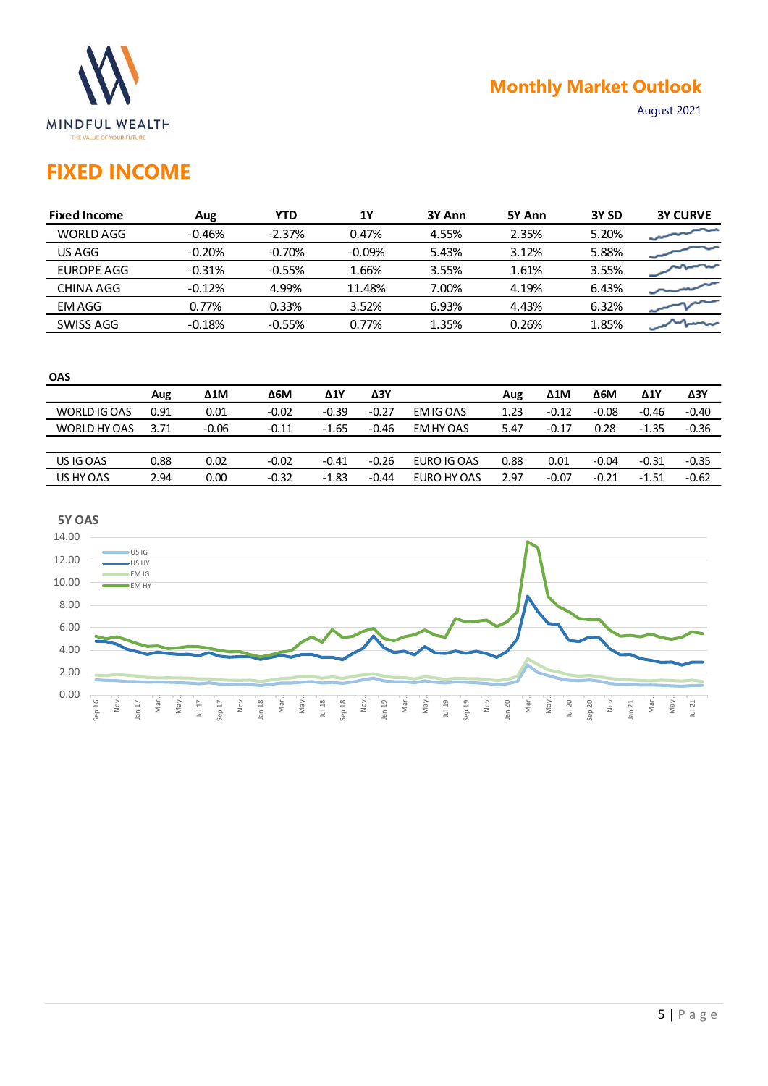

## Monthly Market Outlook

## FIXED INCOME

|                                                                          |      |              |             |            |             |             |        |              | <b>Monthly Market Outlook</b> |             |                 |
|--------------------------------------------------------------------------|------|--------------|-------------|------------|-------------|-------------|--------|--------------|-------------------------------|-------------|-----------------|
| <b>MINDFUL WEALTH</b><br>THE VALUE OF YOUR FUTURE<br><b>FIXED INCOME</b> |      |              |             |            |             |             |        |              |                               | August 2021 |                 |
| <b>Fixed Income</b>                                                      |      | Aug          | <b>YTD</b>  |            | <b>1Y</b>   | 3Y Ann      | 5Y Ann |              | 3Y SD                         |             | <b>3Y CURVE</b> |
| <b>WORLD AGG</b>                                                         |      | $-0.46%$     | $-2.37%$    |            | 0.47%       | 4.55%       | 2.35%  |              | 5.20%                         |             |                 |
| US AGG                                                                   |      | $-0.20%$     | $-0.70%$    |            | $-0.09%$    | 5.43%       | 3.12%  |              | 5.88%                         |             |                 |
| <b>EUROPE AGG</b>                                                        |      | $-0.31%$     | $-0.55%$    |            | 1.66%       | 3.55%       | 1.61%  |              | 3.55%                         |             |                 |
| <b>CHINA AGG</b>                                                         |      | $-0.12%$     | 4.99%       |            | 11.48%      | 7.00%       | 4.19%  |              | 6.43%                         |             |                 |
| <b>EMAGG</b>                                                             |      | 0.77%        | 0.33%       |            | 3.52%       | 6.93%       | 4.43%  |              | 6.32%                         |             |                 |
| SWISS AGG                                                                |      | $-0.18%$     | $-0.55%$    |            | 0.77%       | 1.35%       | 0.26%  |              | 1.85%                         |             |                 |
|                                                                          |      |              |             |            | $\Delta 3Y$ |             | Aug    | $\Delta 1$ M | $\Delta 6M$                   | $\Delta 1$  | $\Delta 3Y$     |
| OAS                                                                      |      |              |             |            |             |             |        |              |                               |             |                 |
|                                                                          | Aug  | $\Delta 1$ M | $\Delta 6M$ | $\Delta 1$ |             |             |        |              |                               |             |                 |
| WORLD IG OAS                                                             | 0.91 | 0.01         | $-0.02$     | $-0.39$    | $-0.27$     | EM IG OAS   | 1.23   | $-0.12$      | $-0.08$                       | $-0.46$     | $-0.40$         |
| WORLD HY OAS                                                             | 3.71 | $-0.06$      | $-0.11$     | $-1.65$    | $-0.46$     | EM HY OAS   | 5.47   | $-0.17$      | 0.28                          | $-1.35$     | $-0.36$         |
| US IG OAS                                                                | 0.88 | 0.02         | $-0.02$     | $-0.41$    | $-0.26$     | EURO IG OAS | 0.88   | 0.01         | $-0.04$                       | $-0.31$     | $-0.35$         |

| ۰.     |         |
|--------|---------|
| I<br>× | I<br>۰. |

| <b>OAS</b>   |      |              |            |         |         |             |      |              |             |             |         |
|--------------|------|--------------|------------|---------|---------|-------------|------|--------------|-------------|-------------|---------|
|              | Aug  | $\Delta 1$ M | <b>Δ6Μ</b> | Δ1Y     | ΔЗΥ     |             | Aug  | $\Delta 1$ M | $\Delta$ 6M | $\Delta$ 1Y | Δ3Y     |
| WORLD IG OAS | 0.91 | 0.01         | $-0.02$    | $-0.39$ | $-0.27$ | EM IG OAS   | 1.23 | $-0.12$      | $-0.08$     | $-0.46$     | $-0.40$ |
| WORLD HY OAS | 3.71 | $-0.06$      | $-0.11$    | $-1.65$ | $-0.46$ | EM HY OAS   | 5.47 | $-0.17$      | 0.28        | $-1.35$     | $-0.36$ |
|              |      |              |            |         |         |             |      |              |             |             |         |
| US IG OAS    | 0.88 | 0.02         | $-0.02$    | $-0.41$ | $-0.26$ | EURO IG OAS | 0.88 | 0.01         | $-0.04$     | $-0.31$     | $-0.35$ |
| US HY OAS    | 2.94 | 0.00         | $-0.32$    | $-1.83$ | $-0.44$ | EURO HY OAS | 2.97 | $-0.07$      | $-0.21$     | $-1.51$     | $-0.62$ |
|              |      |              |            |         |         |             |      |              |             |             |         |

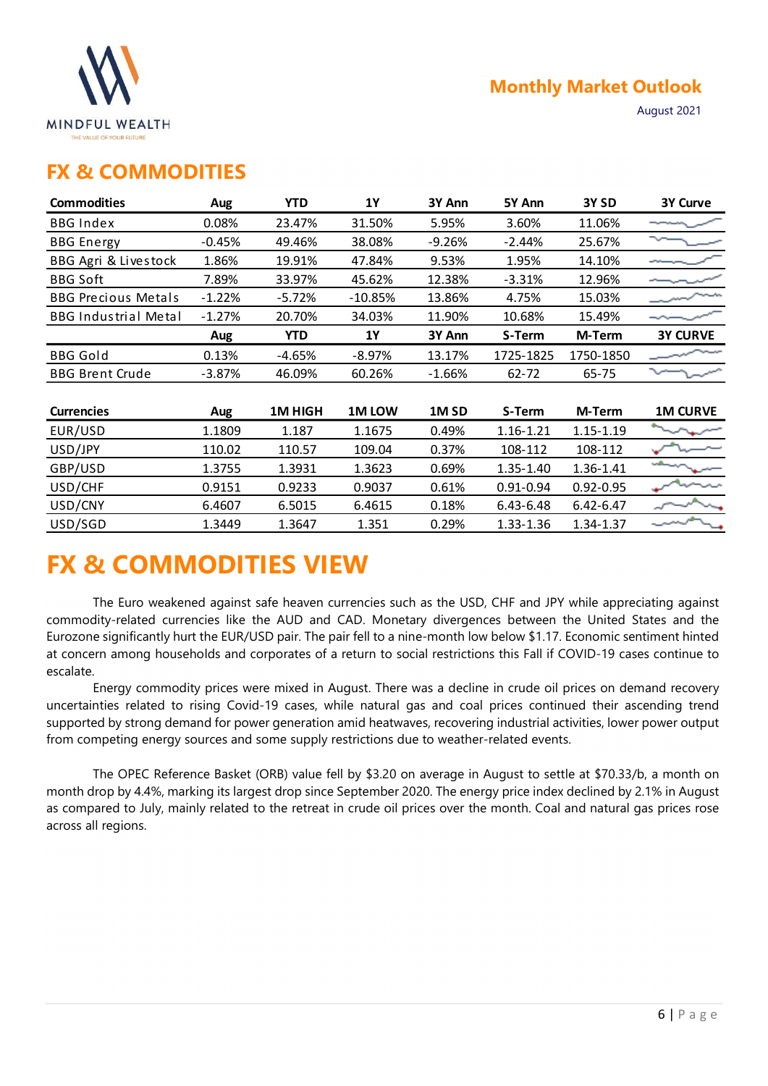

### FX & COMMODITIES

|                                                   |          |            |           |                  |               | <b>Monthly Market Outlook</b> |                 |
|---------------------------------------------------|----------|------------|-----------|------------------|---------------|-------------------------------|-----------------|
| <b>MINDFUL WEALTH</b><br>THE VALUE OF YOUR FUTURE |          |            |           |                  |               |                               | August 2021     |
| <b>FX &amp; COMMODITIES</b>                       |          |            |           |                  |               |                               |                 |
| <b>Commodities</b>                                | Aug      | <b>YTD</b> | <b>1Y</b> | 3Y Ann           | 5Y Ann        | 3Y <sub>SD</sub>              | 3Y Curve        |
| <b>BBG Index</b>                                  | 0.08%    | 23.47%     | 31.50%    | 5.95%            | 3.60%         | 11.06%                        | ---             |
| <b>BBG</b> Energy                                 | $-0.45%$ | 49.46%     | 38.08%    | $-9.26%$         | $-2.44%$      | 25.67%                        | ∼               |
| BBG Agri & Livestock                              | 1.86%    | 19.91%     | 47.84%    | 9.53%            | 1.95%         | 14.10%                        |                 |
| <b>BBG Soft</b>                                   | 7.89%    | 33.97%     | 45.62%    | 12.38%           | $-3.31%$      | 12.96%                        |                 |
| <b>BBG Precious Metals</b>                        | $-1.22%$ | $-5.72%$   | $-10.85%$ | 13.86%           | 4.75%         | 15.03%                        |                 |
| <b>BBG Industrial Metal</b>                       | $-1.27%$ | 20.70%     | 34.03%    | 11.90%           | 10.68%        | 15.49%                        |                 |
|                                                   | Aug      | <b>YTD</b> | <b>1Y</b> | 3Y Ann           | S-Term        | M-Term                        | <b>3Y CURVE</b> |
| <b>BBG Gold</b>                                   | 0.13%    | $-4.65%$   | $-8.97%$  | 13.17%           | 1725-1825     | 1750-1850                     |                 |
| <b>BBG Brent Crude</b>                            | $-3.87%$ | 46.09%     | 60.26%    | $-1.66%$         | 62-72         | 65-75                         |                 |
|                                                   |          |            |           |                  |               |                               |                 |
| <b>Currencies</b>                                 | Aug      | 1M HIGH    | 1M LOW    | 1M <sub>SD</sub> | S-Term        | M-Term                        | <b>1M CURVE</b> |
| EUR/USD                                           | 1.1809   | 1.187      | 1.1675    | 0.49%            | 1.16-1.21     | $1.15 - 1.19$                 |                 |
| USD/JPY                                           | 110.02   | 110.57     | 109.04    | 0.37%            | 108-112       | 108-112                       |                 |
| GBP/USD                                           | 1.3755   | 1.3931     | 1.3623    | 0.69%            | 1.35-1.40     | 1.36-1.41                     | رزيناهما        |
| USD/CHF                                           | 0.9151   | 0.9233     | 0.9037    | 0.61%            | $0.91 - 0.94$ | $0.92 - 0.95$                 |                 |
| USD/CNY                                           | 6.4607   | 6.5015     | 6.4615    | 0.18%            | 6.43-6.48     | 6.42-6.47                     |                 |
| USD/SGD                                           | 1.3449   | 1.3647     | 1.351     | 0.29%            | 1.33-1.36     | 1.34-1.37                     |                 |

## FX & COMMODITIES VIEW

The Euro weakened against safe heaven currencies such as the USD, CHF and JPY while appreciating against commodity-related currencies like the AUD and CAD. Monetary divergences between the United States and the Eurozone significantly hurt the EUR/USD pair. The pair fell to a nine-month low below \$1.17. Economic sentiment hinted at concern among households and corporates of a return to social restrictions this Fall if COVID-19 cases continue to escalate.

Energy commodity prices were mixed in August. There was a decline in crude oil prices on demand recovery uncertainties related to rising Covid-19 cases, while natural gas and coal prices continued their ascending trend supported by strong demand for power generation amid heatwaves, recovering industrial activities, lower power output from competing energy sources and some supply restrictions due to weather-related events.

The OPEC Reference Basket (ORB) value fell by \$3.20 on average in August to settle at \$70.33/b, a month on month drop by 4.4%, marking its largest drop since September 2020. The energy price index declined by 2.1% in August as compared to July, mainly related to the retreat in crude oil prices over the month. Coal and natural gas prices rose across all regions.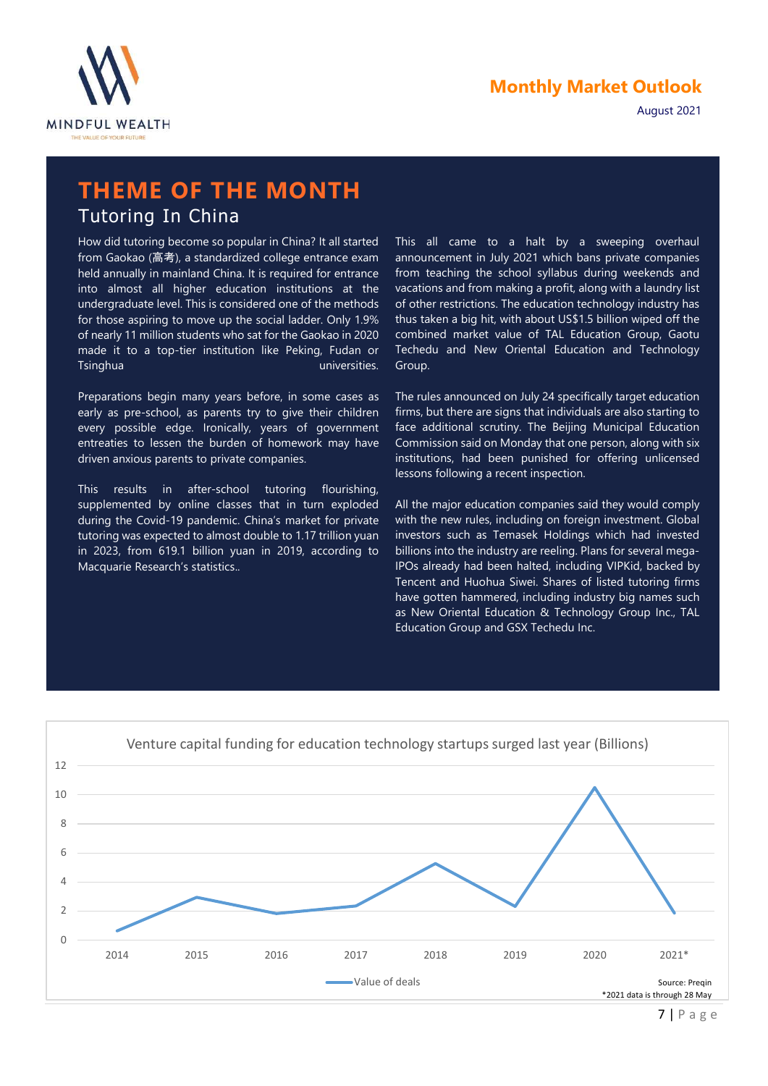



## THEME OF THE MONTH Tutoring In China

How did tutoring become so popular in China? It all started from Gaokao (高考), a standardized college entrance exam held annually in mainland China. It is required for entrance into almost all higher education institutions at the undergraduate level. This is considered one of the methods for those aspiring to move up the social ladder. Only 1.9% of nearly 11 million students who sat for the Gaokao in 2020 made it to a top-tier institution like Peking, Fudan or Tsinghua universities.

Preparations begin many years before, in some cases as early as pre-school, as parents try to give their children every possible edge. Ironically, years of government entreaties to lessen the burden of homework may have driven anxious parents to private companies.

This results in after-school tutoring flourishing, supplemented by online classes that in turn exploded during the Covid-19 pandemic. China's market for private tutoring was expected to almost double to 1.17 trillion yuan in 2023, from 619.1 billion yuan in 2019, according to Macquarie Research's statistics..

This all came to a halt by a sweeping overhaul announcement in July 2021 which bans private companies from teaching the school syllabus during weekends and vacations and from making a profit, along with a laundry list of other restrictions. The education technology industry has thus taken a big hit, with about US\$1.5 billion wiped off the combined market value of TAL Education Group, Gaotu Techedu and New Oriental Education and Technology Group.

The rules announced on July 24 specifically target education firms, but there are signs that individuals are also starting to face additional scrutiny. The Beijing Municipal Education Commission said on Monday that one person, along with six institutions, had been punished for offering unlicensed lessons following a recent inspection.

All the major education companies said they would comply with the new rules, including on foreign investment. Global investors such as Temasek Holdings which had invested billions into the industry are reeling. Plans for several mega-IPOs already had been halted, including VIPKid, backed by Tencent and Huohua Siwei. Shares of listed tutoring firms have gotten hammered, including industry big names such as New Oriental Education & Technology Group Inc., TAL Education Group and GSX Techedu Inc.

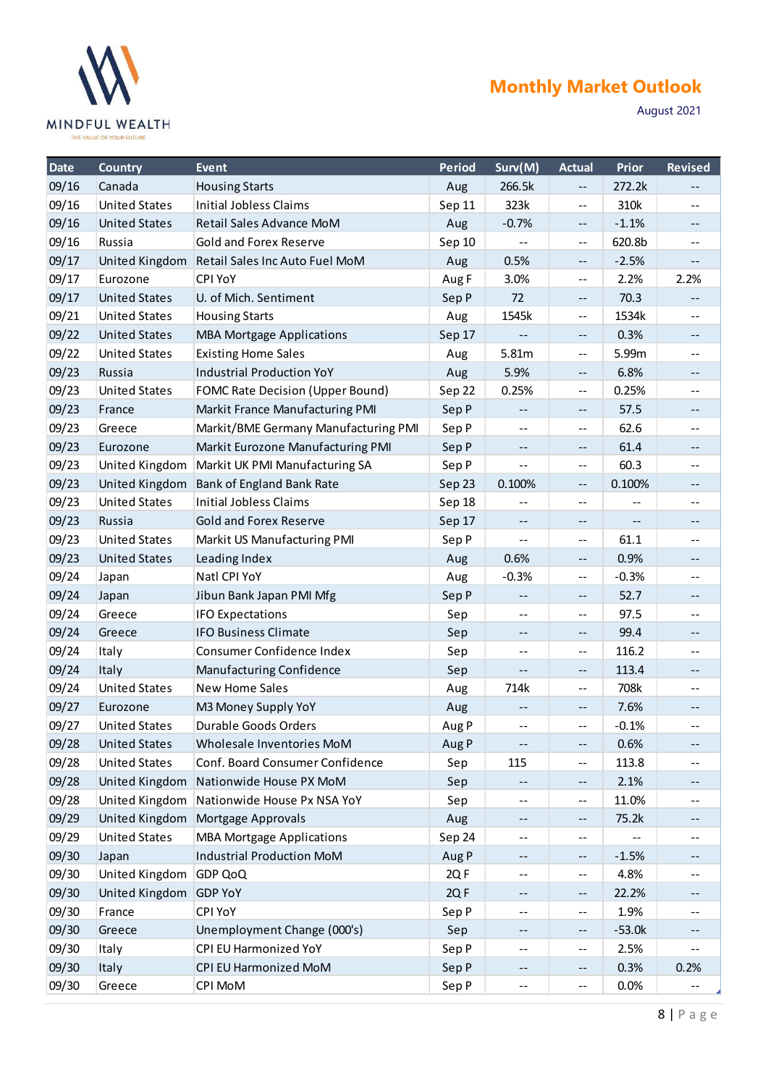

## Monthly Market Outlook

|                | <b>MINDFUL WEALTH</b><br>THE VALUE OF YOUR FUTURE |                                                                |               |                                                               |                                               |               | August 2021                                   |
|----------------|---------------------------------------------------|----------------------------------------------------------------|---------------|---------------------------------------------------------------|-----------------------------------------------|---------------|-----------------------------------------------|
| Date           | <b>Country</b>                                    | Event                                                          | <b>Period</b> | Surv(M)                                                       | <b>Actual</b>                                 | Prior         | <b>Revised</b>                                |
| 09/16          | Canada                                            | <b>Housing Starts</b>                                          | Aug           | 266.5k                                                        | $\mathord{\hspace{1pt}\text{--}\hspace{1pt}}$ | 272.2k        | $\mathord{\hspace{1pt}\text{--}\hspace{1pt}}$ |
| 09/16          | <b>United States</b>                              | <b>Initial Jobless Claims</b>                                  | Sep 11        | 323k                                                          | $\mathbf{m}$                                  | 310k          | $- -$                                         |
| 09/16          | <b>United States</b>                              | Retail Sales Advance MoM                                       | Aug           | $-0.7%$                                                       | $- -$                                         | $-1.1%$       | $\qquad \qquad -$                             |
| 09/16          | Russia                                            | <b>Gold and Forex Reserve</b>                                  | Sep 10        | $\bullet\bullet$                                              | $\mathbf{m}$                                  | 620.8b        | $- -$                                         |
| 09/17          | <b>United Kingdom</b>                             | Retail Sales Inc Auto Fuel MoM                                 | Aug           | 0.5%                                                          | $\mathord{\hspace{1pt}\text{--}\hspace{1pt}}$ | $-2.5%$       | $--$                                          |
| 09/17          | Eurozone                                          | <b>CPI YoY</b>                                                 | Aug F         | 3.0%                                                          | $\mathbf{m}$                                  | 2.2%          | 2.2%                                          |
| 09/17          | <b>United States</b>                              | U. of Mich. Sentiment                                          | Sep P         | 72                                                            | $- -$                                         | 70.3          | $- -$                                         |
| 09/21<br>09/22 | <b>United States</b><br><b>United States</b>      | <b>Housing Starts</b>                                          | Aug           | 1545k                                                         | $- -$                                         | 1534k<br>0.3% | $- -$                                         |
| 09/22          | <b>United States</b>                              | <b>MBA Mortgage Applications</b><br><b>Existing Home Sales</b> | Sep 17<br>Aug | $\mathord{\hspace{1pt}\text{--}\hspace{1pt}}$<br>5.81m        | $\overline{\phantom{m}}$<br>$--$              | 5.99m         | $- -$<br>$\sim$ $-$                           |
| 09/23          | Russia                                            | <b>Industrial Production YoY</b>                               | Aug           | 5.9%                                                          | $\sim$ $\sim$                                 | 6.8%          | $--$                                          |
| 09/23          | <b>United States</b>                              | <b>FOMC Rate Decision (Upper Bound)</b>                        | Sep 22        | 0.25%                                                         | $- -$                                         | 0.25%         | $- -$                                         |
| 09/23          | France                                            | Markit France Manufacturing PMI                                | Sep P         | $--$                                                          | $- -$                                         | 57.5          | $--$                                          |
| 09/23          | Greece                                            | Markit/BME Germany Manufacturing PMI                           | Sep P         | $\mathord{\hspace{1pt}\text{--}\hspace{1pt}}$                 | $\mathord{\hspace{1pt}\text{--}\hspace{1pt}}$ | 62.6          | $- -$                                         |
| 09/23          | Eurozone                                          | Markit Eurozone Manufacturing PMI                              | Sep P         | $--$                                                          | $\mathord{\hspace{1pt}\text{--}\hspace{1pt}}$ | 61.4          | $--$                                          |
| 09/23          | United Kingdom                                    | Markit UK PMI Manufacturing SA                                 | Sep P         | $\mathbf{u}$                                                  | $\sim$ $-$                                    | 60.3          | $\mathbf{m}$                                  |
| 09/23          |                                                   | United Kingdom Bank of England Bank Rate                       | Sep 23        | 0.100%                                                        | $\mathord{\hspace{1pt}\text{--}\hspace{1pt}}$ | 0.100%        | $--$                                          |
| 09/23          | <b>United States</b>                              | <b>Initial Jobless Claims</b>                                  | Sep 18        | $- -$                                                         | $\mathord{\hspace{1pt}\text{--}\hspace{1pt}}$ | $- -$         | $- -$                                         |
| 09/23          | Russia                                            | <b>Gold and Forex Reserve</b>                                  | Sep 17        | $- -$                                                         | $- -$                                         | $- -$         | $--$                                          |
| 09/23          | <b>United States</b>                              | Markit US Manufacturing PMI                                    | Sep P         | $\qquad \qquad -$                                             | $\mathord{\hspace{1pt}\text{--}\hspace{1pt}}$ | 61.1          | $\qquad \qquad -$                             |
| 09/23          | <b>United States</b>                              | Leading Index                                                  | Aug           | 0.6%                                                          | $\sim$ $\sim$                                 | 0.9%          | $--$                                          |
| 09/24          | Japan                                             | Natl CPI YoY                                                   | Aug           | $-0.3%$                                                       | $\mathord{\hspace{1pt}\text{--}\hspace{1pt}}$ | $-0.3%$       | $\mathord{\hspace{1pt}\text{--}\hspace{1pt}}$ |
| 09/24          | Japan                                             | Jibun Bank Japan PMI Mfg                                       | Sep P         | $\mathord{\hspace{1pt}\text{--}\hspace{1pt}}$                 | $\overline{\phantom{a}}$                      | 52.7          | $\mathord{\hspace{1pt}\text{--}\hspace{1pt}}$ |
| 09/24          | Greece                                            | <b>IFO Expectations</b>                                        | Sep           | $\sim$ $-$                                                    | $\sim$ $-$                                    | 97.5          | $\mathord{\hspace{1pt}\text{--}\hspace{1pt}}$ |
| 09/24          | Greece                                            | <b>IFO Business Climate</b>                                    | Sep           | $--$                                                          | $\mathord{\hspace{1pt}\text{--}\hspace{1pt}}$ | 99.4          | $--$                                          |
| 09/24          | Italy                                             | Consumer Confidence Index                                      | Sep           | $\mathbf{m}$                                                  | $\mathord{\hspace{1pt}\text{--}\hspace{1pt}}$ | 116.2         | $\mathbf{m}$                                  |
| 09/24          | Italy                                             | Manufacturing Confidence                                       | Sep           | $- -$                                                         | $\mathord{\hspace{1pt}\text{--}\hspace{1pt}}$ | 113.4         | $\mathord{\hspace{1pt}\text{--}\hspace{1pt}}$ |
| 09/24          | <b>United States</b>                              | <b>New Home Sales</b>                                          | Aug           | 714k                                                          | $\mathcal{L}_{\mathcal{F}}$                   | 708k          | $\qquad \qquad -$                             |
| 09/27          | Eurozone                                          | M3 Money Supply YoY                                            | Aug           | $- -$                                                         | $\mathord{\hspace{1pt}\text{--}\hspace{1pt}}$ | 7.6%          | $\sim$ $\sim$                                 |
| 09/27          | <b>United States</b>                              | Durable Goods Orders                                           | Aug P         | $\mathord{\hspace{1pt}\text{--}\hspace{1pt}}$                 | $\mathbf{m}$                                  | $-0.1%$       | $\mathord{\hspace{1pt}\text{--}\hspace{1pt}}$ |
| 09/28          | <b>United States</b>                              | Wholesale Inventories MoM                                      | Aug P         | $\mathord{\hspace{1pt}\text{--}\hspace{1pt}}$                 | $\mathord{\hspace{1pt}\text{--}\hspace{1pt}}$ | 0.6%          | $--$                                          |
| 09/28          | <b>United States</b>                              | Conf. Board Consumer Confidence                                | Sep           | 115                                                           | $\mathord{\hspace{1pt}\text{--}\hspace{1pt}}$ | 113.8         | $\mathord{\hspace{1pt}\text{--}\hspace{1pt}}$ |
| 09/28          | United Kingdom                                    | Nationwide House PX MoM                                        | Sep           | $\mathord{\hspace{1pt}\text{--}\hspace{1pt}}$                 | $\overline{\phantom{a}}$                      | 2.1%<br>11.0% | $\mathord{\hspace{1pt}\text{--}\hspace{1pt}}$ |
| 09/28<br>09/29 | United Kingdom                                    | United Kingdom Nationwide House Px NSA YoY                     | Sep           | $\mathbf{m}$<br>$\mathord{\hspace{1pt}\text{--}\hspace{1pt}}$ | $\overline{\phantom{a}}$                      | 75.2k         | $\mathbf{m}$<br>$\overline{\phantom{m}}$      |
| 09/29          | <b>United States</b>                              | Mortgage Approvals<br><b>MBA Mortgage Applications</b>         | Aug<br>Sep 24 | $--$                                                          | $- -$<br>$\mathbf{m}$                         | $\mathbf{m}$  | $\qquad \qquad -$                             |
| 09/30          | Japan                                             | <b>Industrial Production MoM</b>                               | Aug P         | $- -$                                                         | $\mathord{\hspace{1pt}\text{--}\hspace{1pt}}$ | $-1.5%$       | $\mathord{\hspace{1pt}\text{--}\hspace{1pt}}$ |
| 09/30          | United Kingdom                                    | GDP QoQ                                                        | 2QF           | $\mathbf{m}$                                                  | $\mathord{\hspace{1pt}\text{--}\hspace{1pt}}$ | 4.8%          | $\mathord{\hspace{1pt}\text{--}\hspace{1pt}}$ |
| 09/30          | United Kingdom GDP YoY                            |                                                                | 2QF           | $- -$                                                         | $\overline{\phantom{a}}$                      | 22.2%         | $\mathcal{L} = \mathcal{L}$                   |
| 09/30          | France                                            | <b>CPI YoY</b>                                                 | Sep P         | $\mathbf{m}$                                                  | $- -$                                         | 1.9%          | $\mathord{\hspace{1pt}\text{--}\hspace{1pt}}$ |
| 09/30          | Greece                                            | Unemployment Change (000's)                                    | Sep           | $\mathord{\hspace{1pt}\text{--}\hspace{1pt}}$                 | $\mathord{\hspace{1pt}\text{--}\hspace{1pt}}$ | $-53.0k$      | $\mathord{\hspace{1pt}\text{--}\hspace{1pt}}$ |
| 09/30          | Italy                                             | CPI EU Harmonized YoY                                          | Sep P         | $\mathbf{m}$                                                  | $\sim$ $-$                                    | 2.5%          | $\sim$ $-$                                    |
| 09/30          | Italy                                             | CPI EU Harmonized MoM                                          | Sep P         | $\mathord{\hspace{1pt}\text{--}\hspace{1pt}}$                 | $\mathord{\hspace{1pt}\text{--}\hspace{1pt}}$ | 0.3%          | 0.2%                                          |
| 09/30          | Greece                                            | <b>CPI MoM</b>                                                 | Sep P         | $- -$                                                         | $\overline{\phantom{a}}$                      | 0.0%          | $- -$                                         |